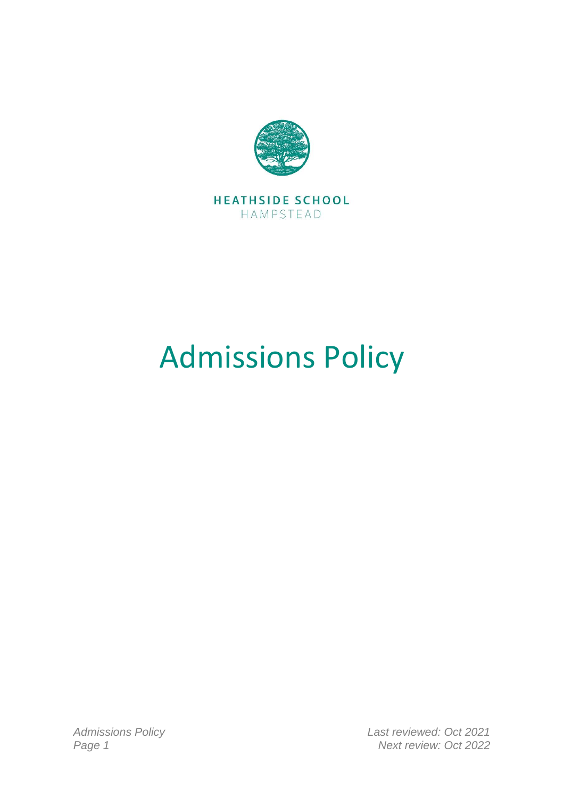

HEATHSIDE SCHOOL HAMPSTEAD

# Admissions Policy

*Admissions Policy Last reviewed: Oct 2021 Page 1 Next review: Oct 2022*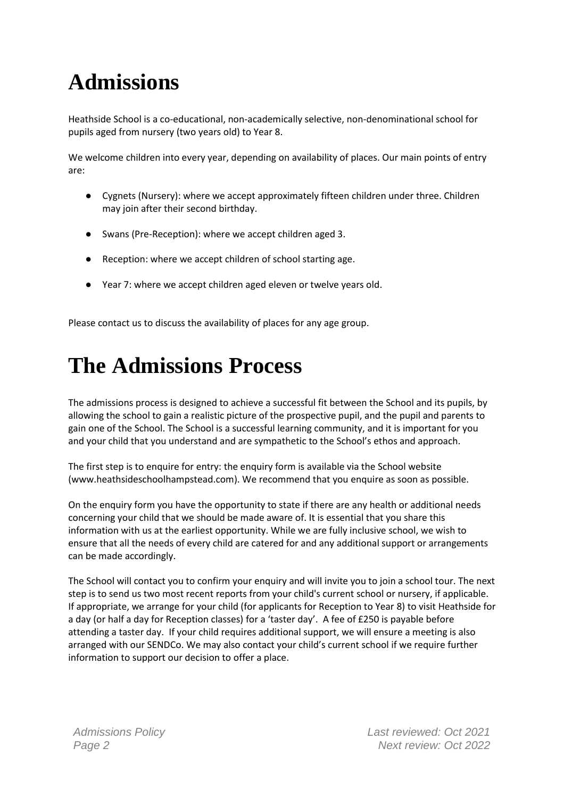# **Admissions**

Heathside School is a co-educational, non-academically selective, non-denominational school for pupils aged from nursery (two years old) to Year 8.

We welcome children into every year, depending on availability of places. Our main points of entry are:

- Cygnets (Nursery): where we accept approximately fifteen children under three. Children may join after their second birthday.
- Swans (Pre-Reception): where we accept children aged 3.
- Reception: where we accept children of school starting age.
- Year 7: where we accept children aged eleven or twelve years old.

Please contact us to discuss the availability of places for any age group.

### **The Admissions Process**

The admissions process is designed to achieve a successful fit between the School and its pupils, by allowing the school to gain a realistic picture of the prospective pupil, and the pupil and parents to gain one of the School. The School is a successful learning community, and it is important for you and your child that you understand and are sympathetic to the School's ethos and approach.

The first step is to enquire for entry: the enquiry form is available via the School website (www.heathsideschoolhampstead.com). We recommend that you enquire as soon as possible.

On the enquiry form you have the opportunity to state if there are any health or additional needs concerning your child that we should be made aware of. It is essential that you share this information with us at the earliest opportunity. While we are fully inclusive school, we wish to ensure that all the needs of every child are catered for and any additional support or arrangements can be made accordingly.

The School will contact you to confirm your enquiry and will invite you to join a school tour. The next step is to send us two most recent reports from your child's current school or nursery, if applicable. If appropriate, we arrange for your child (for applicants for Reception to Year 8) to visit Heathside for a day (or half a day for Reception classes) for a 'taster day'. A fee of £250 is payable before attending a taster day. If your child requires additional support, we will ensure a meeting is also arranged with our SENDCo. We may also contact your child's current school if we require further information to support our decision to offer a place.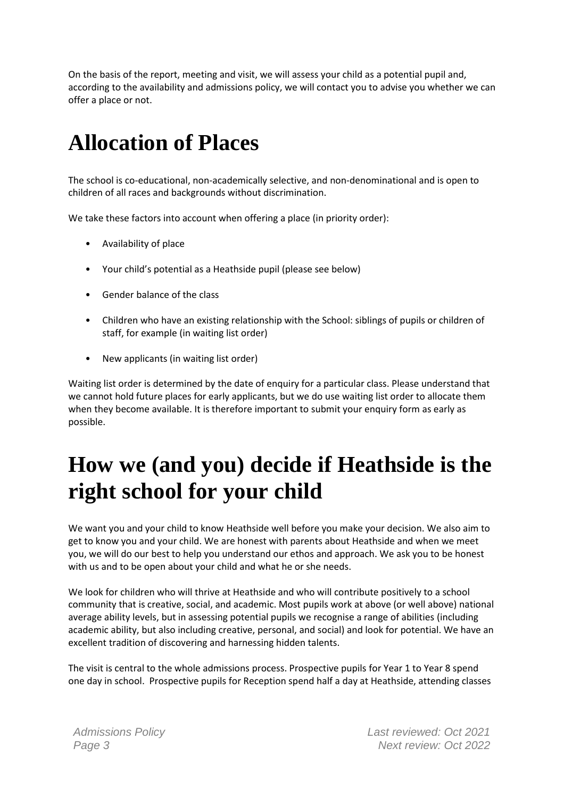On the basis of the report, meeting and visit, we will assess your child as a potential pupil and, according to the availability and admissions policy, we will contact you to advise you whether we can offer a place or not.

#### **Allocation of Places**

The school is co-educational, non-academically selective, and non-denominational and is open to children of all races and backgrounds without discrimination.

We take these factors into account when offering a place (in priority order):

- Availability of place
- Your child's potential as a Heathside pupil (please see below)
- Gender balance of the class
- Children who have an existing relationship with the School: siblings of pupils or children of staff, for example (in waiting list order)
- New applicants (in waiting list order)

Waiting list order is determined by the date of enquiry for a particular class. Please understand that we cannot hold future places for early applicants, but we do use waiting list order to allocate them when they become available. It is therefore important to submit your enquiry form as early as possible.

#### **How we (and you) decide if Heathside is the right school for your child**

We want you and your child to know Heathside well before you make your decision. We also aim to get to know you and your child. We are honest with parents about Heathside and when we meet you, we will do our best to help you understand our ethos and approach. We ask you to be honest with us and to be open about your child and what he or she needs.

We look for children who will thrive at Heathside and who will contribute positively to a school community that is creative, social, and academic. Most pupils work at above (or well above) national average ability levels, but in assessing potential pupils we recognise a range of abilities (including academic ability, but also including creative, personal, and social) and look for potential. We have an excellent tradition of discovering and harnessing hidden talents.

The visit is central to the whole admissions process. Prospective pupils for Year 1 to Year 8 spend one day in school. Prospective pupils for Reception spend half a day at Heathside, attending classes

*Admissions Policy Last reviewed: Oct 2021 Page 3 Next review: Oct 2022*